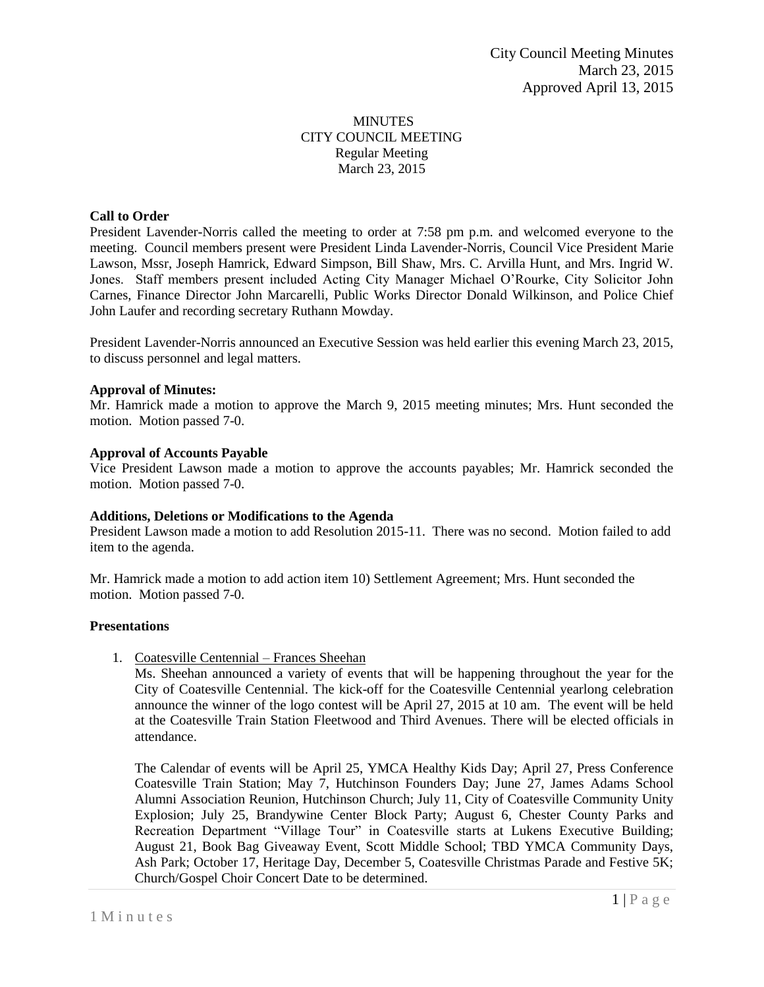## **MINUTES** CITY COUNCIL MEETING Regular Meeting March 23, 2015

## **Call to Order**

President Lavender-Norris called the meeting to order at 7:58 pm p.m. and welcomed everyone to the meeting. Council members present were President Linda Lavender-Norris, Council Vice President Marie Lawson, Mssr, Joseph Hamrick, Edward Simpson, Bill Shaw, Mrs. C. Arvilla Hunt, and Mrs. Ingrid W. Jones. Staff members present included Acting City Manager Michael O'Rourke, City Solicitor John Carnes, Finance Director John Marcarelli, Public Works Director Donald Wilkinson, and Police Chief John Laufer and recording secretary Ruthann Mowday.

President Lavender-Norris announced an Executive Session was held earlier this evening March 23, 2015, to discuss personnel and legal matters.

#### **Approval of Minutes:**

Mr. Hamrick made a motion to approve the March 9, 2015 meeting minutes; Mrs. Hunt seconded the motion. Motion passed 7-0.

#### **Approval of Accounts Payable**

Vice President Lawson made a motion to approve the accounts payables; Mr. Hamrick seconded the motion. Motion passed 7-0.

#### **Additions, Deletions or Modifications to the Agenda**

President Lawson made a motion to add Resolution 2015-11. There was no second. Motion failed to add item to the agenda.

Mr. Hamrick made a motion to add action item 10) Settlement Agreement; Mrs. Hunt seconded the motion. Motion passed 7-0.

#### **Presentations**

1. Coatesville Centennial – Frances Sheehan

Ms. Sheehan announced a variety of events that will be happening throughout the year for the City of Coatesville Centennial. The kick-off for the Coatesville Centennial yearlong celebration announce the winner of the logo contest will be April 27, 2015 at 10 am. The event will be held at the Coatesville Train Station Fleetwood and Third Avenues. There will be elected officials in attendance.

The Calendar of events will be April 25, YMCA Healthy Kids Day; April 27, Press Conference Coatesville Train Station; May 7, Hutchinson Founders Day; June 27, James Adams School Alumni Association Reunion, Hutchinson Church; July 11, City of Coatesville Community Unity Explosion; July 25, Brandywine Center Block Party; August 6, Chester County Parks and Recreation Department "Village Tour" in Coatesville starts at Lukens Executive Building; August 21, Book Bag Giveaway Event, Scott Middle School; TBD YMCA Community Days, Ash Park; October 17, Heritage Day, December 5, Coatesville Christmas Parade and Festive 5K; Church/Gospel Choir Concert Date to be determined.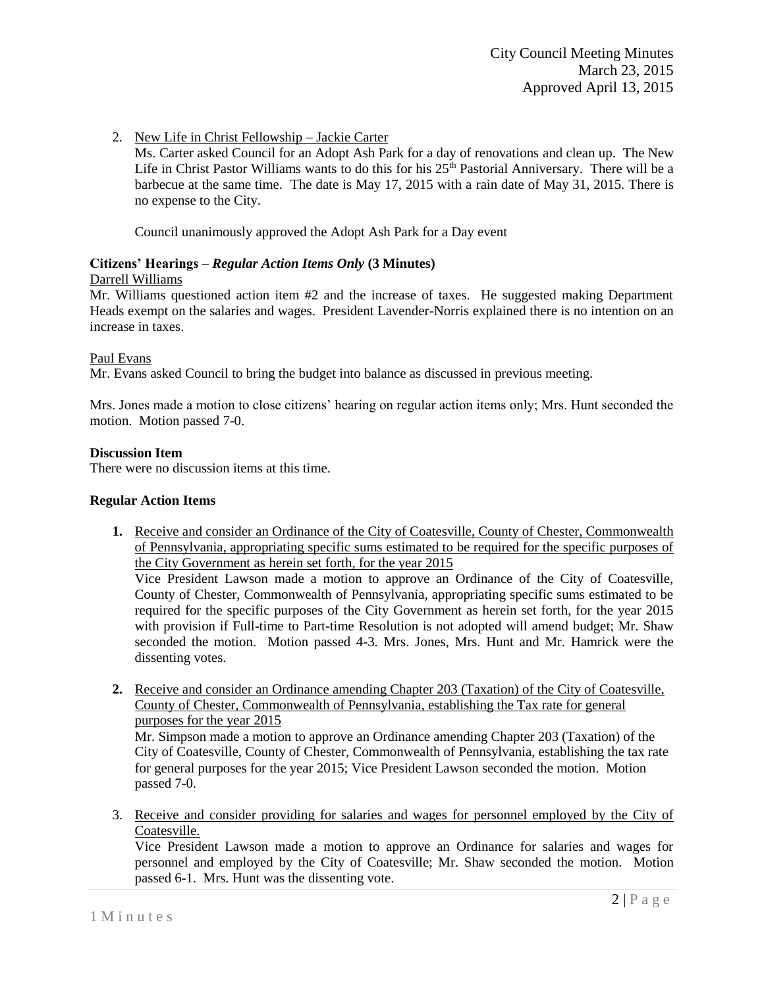2. New Life in Christ Fellowship – Jackie Carter

Ms. Carter asked Council for an Adopt Ash Park for a day of renovations and clean up. The New Life in Christ Pastor Williams wants to do this for his  $25<sup>th</sup>$  Pastorial Anniversary. There will be a barbecue at the same time. The date is May 17, 2015 with a rain date of May 31, 2015. There is no expense to the City.

Council unanimously approved the Adopt Ash Park for a Day event

# **Citizens' Hearings –** *Regular Action Items Only* **(3 Minutes)**

#### Darrell Williams

Mr. Williams questioned action item #2 and the increase of taxes. He suggested making Department Heads exempt on the salaries and wages. President Lavender-Norris explained there is no intention on an increase in taxes.

# Paul Evans

Mr. Evans asked Council to bring the budget into balance as discussed in previous meeting.

Mrs. Jones made a motion to close citizens' hearing on regular action items only; Mrs. Hunt seconded the motion. Motion passed 7-0.

# **Discussion Item**

There were no discussion items at this time.

## **Regular Action Items**

**1.** Receive and consider an Ordinance of the City of Coatesville, County of Chester, Commonwealth of Pennsylvania, appropriating specific sums estimated to be required for the specific purposes of the City Government as herein set forth, for the year 2015

Vice President Lawson made a motion to approve an Ordinance of the City of Coatesville, County of Chester, Commonwealth of Pennsylvania, appropriating specific sums estimated to be required for the specific purposes of the City Government as herein set forth, for the year 2015 with provision if Full-time to Part-time Resolution is not adopted will amend budget; Mr. Shaw seconded the motion. Motion passed 4-3. Mrs. Jones, Mrs. Hunt and Mr. Hamrick were the dissenting votes.

**2.** Receive and consider an Ordinance amending Chapter 203 (Taxation) of the City of Coatesville, County of Chester, Commonwealth of Pennsylvania, establishing the Tax rate for general purposes for the year 2015

Mr. Simpson made a motion to approve an Ordinance amending Chapter 203 (Taxation) of the City of Coatesville, County of Chester, Commonwealth of Pennsylvania, establishing the tax rate for general purposes for the year 2015; Vice President Lawson seconded the motion. Motion passed 7-0.

3. Receive and consider providing for salaries and wages for personnel employed by the City of Coatesville.

Vice President Lawson made a motion to approve an Ordinance for salaries and wages for personnel and employed by the City of Coatesville; Mr. Shaw seconded the motion. Motion passed 6-1. Mrs. Hunt was the dissenting vote.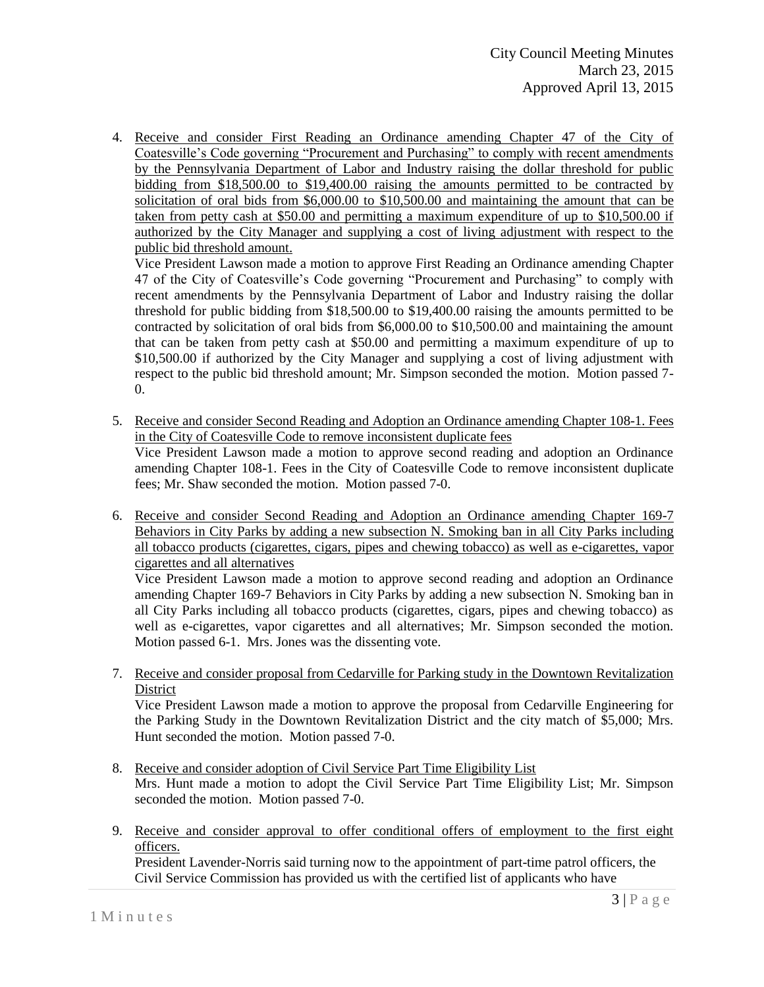4. Receive and consider First Reading an Ordinance amending Chapter 47 of the City of Coatesville's Code governing "Procurement and Purchasing" to comply with recent amendments by the Pennsylvania Department of Labor and Industry raising the dollar threshold for public bidding from \$18,500.00 to \$19,400.00 raising the amounts permitted to be contracted by solicitation of oral bids from \$6,000.00 to \$10,500.00 and maintaining the amount that can be taken from petty cash at \$50.00 and permitting a maximum expenditure of up to \$10,500.00 if authorized by the City Manager and supplying a cost of living adjustment with respect to the public bid threshold amount.

Vice President Lawson made a motion to approve First Reading an Ordinance amending Chapter 47 of the City of Coatesville's Code governing "Procurement and Purchasing" to comply with recent amendments by the Pennsylvania Department of Labor and Industry raising the dollar threshold for public bidding from \$18,500.00 to \$19,400.00 raising the amounts permitted to be contracted by solicitation of oral bids from \$6,000.00 to \$10,500.00 and maintaining the amount that can be taken from petty cash at \$50.00 and permitting a maximum expenditure of up to \$10,500.00 if authorized by the City Manager and supplying a cost of living adjustment with respect to the public bid threshold amount; Mr. Simpson seconded the motion. Motion passed 7- 0.

- 5. Receive and consider Second Reading and Adoption an Ordinance amending Chapter 108-1. Fees in the City of Coatesville Code to remove inconsistent duplicate fees Vice President Lawson made a motion to approve second reading and adoption an Ordinance amending Chapter 108-1. Fees in the City of Coatesville Code to remove inconsistent duplicate fees; Mr. Shaw seconded the motion. Motion passed 7-0.
- 6. Receive and consider Second Reading and Adoption an Ordinance amending Chapter 169-7 Behaviors in City Parks by adding a new subsection N. Smoking ban in all City Parks including all tobacco products (cigarettes, cigars, pipes and chewing tobacco) as well as e-cigarettes, vapor cigarettes and all alternatives

Vice President Lawson made a motion to approve second reading and adoption an Ordinance amending Chapter 169-7 Behaviors in City Parks by adding a new subsection N. Smoking ban in all City Parks including all tobacco products (cigarettes, cigars, pipes and chewing tobacco) as well as e-cigarettes, vapor cigarettes and all alternatives; Mr. Simpson seconded the motion. Motion passed 6-1. Mrs. Jones was the dissenting vote.

7. Receive and consider proposal from Cedarville for Parking study in the Downtown Revitalization **District** 

Vice President Lawson made a motion to approve the proposal from Cedarville Engineering for the Parking Study in the Downtown Revitalization District and the city match of \$5,000; Mrs. Hunt seconded the motion. Motion passed 7-0.

- 8. Receive and consider adoption of Civil Service Part Time Eligibility List Mrs. Hunt made a motion to adopt the Civil Service Part Time Eligibility List; Mr. Simpson seconded the motion. Motion passed 7-0.
- 9. Receive and consider approval to offer conditional offers of employment to the first eight officers.

President Lavender-Norris said turning now to the appointment of part-time patrol officers, the Civil Service Commission has provided us with the certified list of applicants who have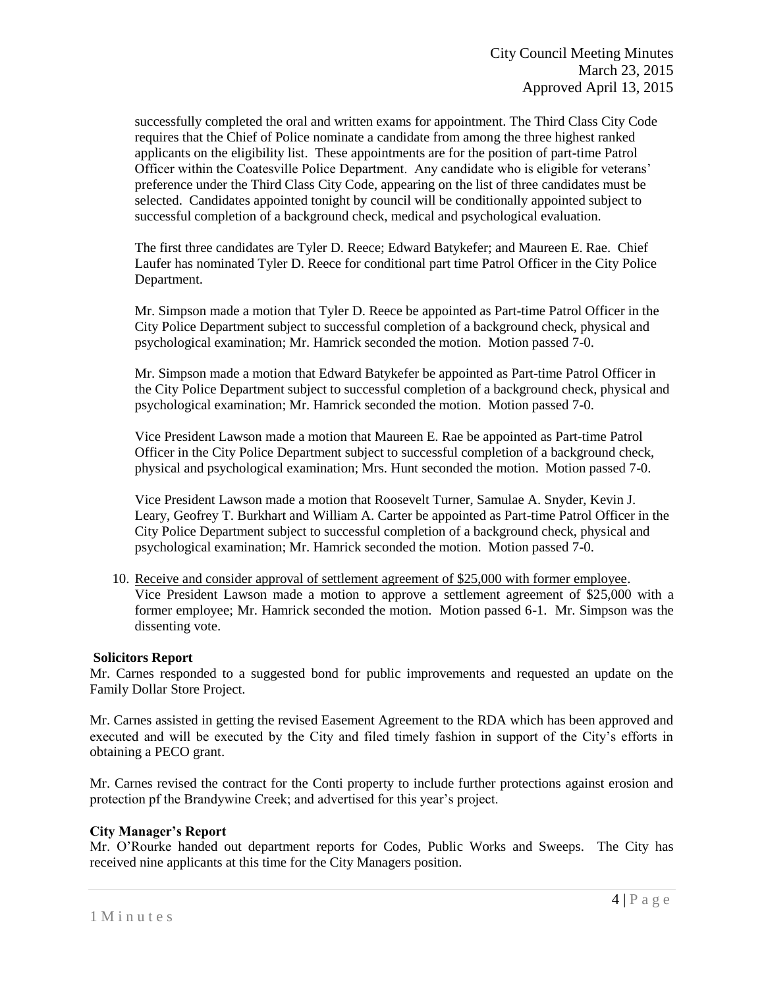successfully completed the oral and written exams for appointment. The Third Class City Code requires that the Chief of Police nominate a candidate from among the three highest ranked applicants on the eligibility list. These appointments are for the position of part-time Patrol Officer within the Coatesville Police Department. Any candidate who is eligible for veterans' preference under the Third Class City Code, appearing on the list of three candidates must be selected. Candidates appointed tonight by council will be conditionally appointed subject to successful completion of a background check, medical and psychological evaluation.

The first three candidates are Tyler D. Reece; Edward Batykefer; and Maureen E. Rae. Chief Laufer has nominated Tyler D. Reece for conditional part time Patrol Officer in the City Police Department.

Mr. Simpson made a motion that Tyler D. Reece be appointed as Part-time Patrol Officer in the City Police Department subject to successful completion of a background check, physical and psychological examination; Mr. Hamrick seconded the motion. Motion passed 7-0.

Mr. Simpson made a motion that Edward Batykefer be appointed as Part-time Patrol Officer in the City Police Department subject to successful completion of a background check, physical and psychological examination; Mr. Hamrick seconded the motion. Motion passed 7-0.

Vice President Lawson made a motion that Maureen E. Rae be appointed as Part-time Patrol Officer in the City Police Department subject to successful completion of a background check, physical and psychological examination; Mrs. Hunt seconded the motion. Motion passed 7-0.

Vice President Lawson made a motion that Roosevelt Turner, Samulae A. Snyder, Kevin J. Leary, Geofrey T. Burkhart and William A. Carter be appointed as Part-time Patrol Officer in the City Police Department subject to successful completion of a background check, physical and psychological examination; Mr. Hamrick seconded the motion. Motion passed 7-0.

10. Receive and consider approval of settlement agreement of \$25,000 with former employee. Vice President Lawson made a motion to approve a settlement agreement of \$25,000 with a former employee; Mr. Hamrick seconded the motion. Motion passed 6-1. Mr. Simpson was the dissenting vote.

#### **Solicitors Report**

Mr. Carnes responded to a suggested bond for public improvements and requested an update on the Family Dollar Store Project.

Mr. Carnes assisted in getting the revised Easement Agreement to the RDA which has been approved and executed and will be executed by the City and filed timely fashion in support of the City's efforts in obtaining a PECO grant.

Mr. Carnes revised the contract for the Conti property to include further protections against erosion and protection pf the Brandywine Creek; and advertised for this year's project.

## **City Manager's Report**

Mr. O'Rourke handed out department reports for Codes, Public Works and Sweeps. The City has received nine applicants at this time for the City Managers position.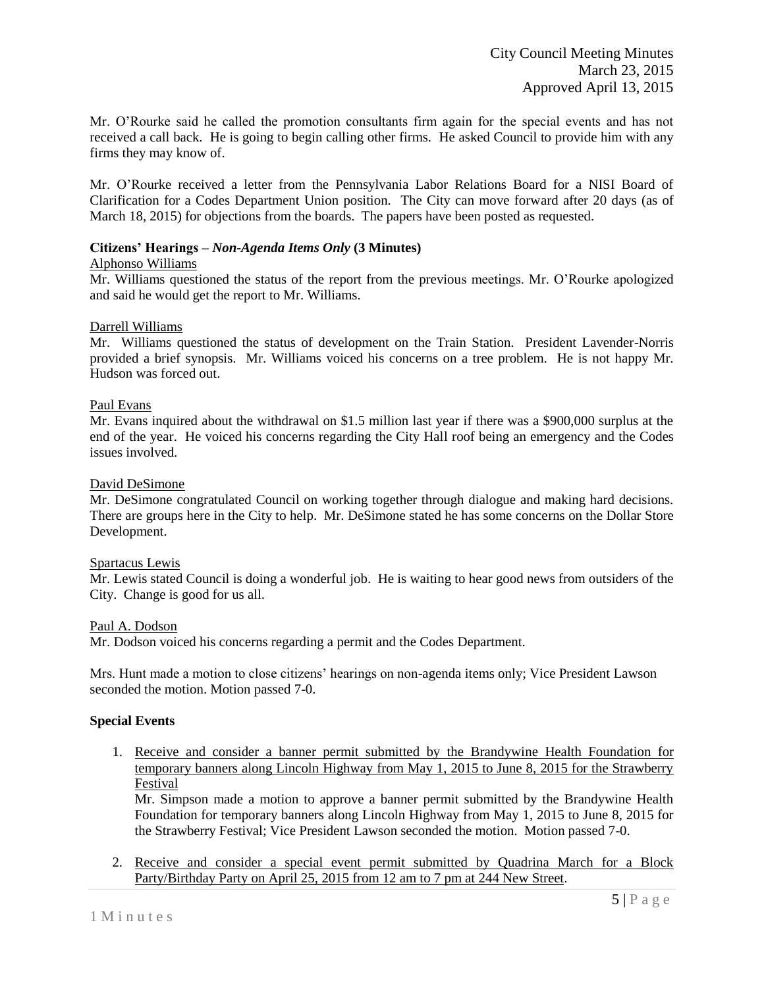Mr. O'Rourke said he called the promotion consultants firm again for the special events and has not received a call back. He is going to begin calling other firms. He asked Council to provide him with any firms they may know of.

Mr. O'Rourke received a letter from the Pennsylvania Labor Relations Board for a NISI Board of Clarification for a Codes Department Union position. The City can move forward after 20 days (as of March 18, 2015) for objections from the boards. The papers have been posted as requested.

# **Citizens' Hearings –** *Non-Agenda Items Only* **(3 Minutes)**

#### Alphonso Williams

Mr. Williams questioned the status of the report from the previous meetings. Mr. O'Rourke apologized and said he would get the report to Mr. Williams.

#### Darrell Williams

Mr. Williams questioned the status of development on the Train Station. President Lavender-Norris provided a brief synopsis. Mr. Williams voiced his concerns on a tree problem. He is not happy Mr. Hudson was forced out.

#### Paul Evans

Mr. Evans inquired about the withdrawal on \$1.5 million last year if there was a \$900,000 surplus at the end of the year. He voiced his concerns regarding the City Hall roof being an emergency and the Codes issues involved.

#### David DeSimone

Mr. DeSimone congratulated Council on working together through dialogue and making hard decisions. There are groups here in the City to help. Mr. DeSimone stated he has some concerns on the Dollar Store Development.

#### Spartacus Lewis

Mr. Lewis stated Council is doing a wonderful job. He is waiting to hear good news from outsiders of the City. Change is good for us all.

#### Paul A. Dodson

Mr. Dodson voiced his concerns regarding a permit and the Codes Department.

Mrs. Hunt made a motion to close citizens' hearings on non-agenda items only; Vice President Lawson seconded the motion. Motion passed 7-0.

#### **Special Events**

1. Receive and consider a banner permit submitted by the Brandywine Health Foundation for temporary banners along Lincoln Highway from May 1, 2015 to June 8, 2015 for the Strawberry Festival

Mr. Simpson made a motion to approve a banner permit submitted by the Brandywine Health Foundation for temporary banners along Lincoln Highway from May 1, 2015 to June 8, 2015 for the Strawberry Festival; Vice President Lawson seconded the motion. Motion passed 7-0.

2. Receive and consider a special event permit submitted by Quadrina March for a Block Party/Birthday Party on April 25, 2015 from 12 am to 7 pm at 244 New Street.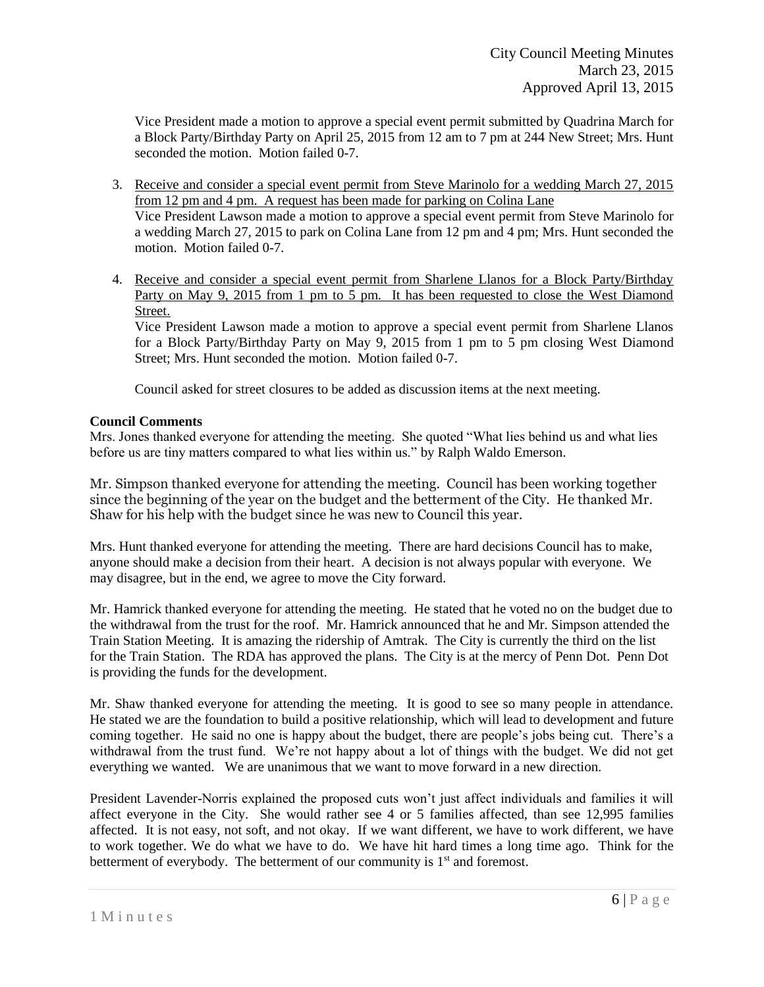Vice President made a motion to approve a special event permit submitted by Quadrina March for a Block Party/Birthday Party on April 25, 2015 from 12 am to 7 pm at 244 New Street; Mrs. Hunt seconded the motion. Motion failed 0-7.

- 3. Receive and consider a special event permit from Steve Marinolo for a wedding March 27, 2015 from 12 pm and 4 pm. A request has been made for parking on Colina Lane Vice President Lawson made a motion to approve a special event permit from Steve Marinolo for a wedding March 27, 2015 to park on Colina Lane from 12 pm and 4 pm; Mrs. Hunt seconded the motion. Motion failed 0-7.
- 4. Receive and consider a special event permit from Sharlene Llanos for a Block Party/Birthday Party on May 9, 2015 from 1 pm to 5 pm. It has been requested to close the West Diamond Street.

Vice President Lawson made a motion to approve a special event permit from Sharlene Llanos for a Block Party/Birthday Party on May 9, 2015 from 1 pm to 5 pm closing West Diamond Street; Mrs. Hunt seconded the motion. Motion failed 0-7.

Council asked for street closures to be added as discussion items at the next meeting.

# **Council Comments**

Mrs. Jones thanked everyone for attending the meeting. She quoted "What lies behind us and what lies before us are tiny matters compared to what lies within us." by Ralph Waldo Emerson.

Mr. Simpson thanked everyone for attending the meeting. Council has been working together since the beginning of the year on the budget and the betterment of the City. He thanked Mr. Shaw for his help with the budget since he was new to Council this year.

Mrs. Hunt thanked everyone for attending the meeting. There are hard decisions Council has to make, anyone should make a decision from their heart. A decision is not always popular with everyone. We may disagree, but in the end, we agree to move the City forward.

Mr. Hamrick thanked everyone for attending the meeting. He stated that he voted no on the budget due to the withdrawal from the trust for the roof. Mr. Hamrick announced that he and Mr. Simpson attended the Train Station Meeting. It is amazing the ridership of Amtrak. The City is currently the third on the list for the Train Station. The RDA has approved the plans. The City is at the mercy of Penn Dot. Penn Dot is providing the funds for the development.

Mr. Shaw thanked everyone for attending the meeting. It is good to see so many people in attendance. He stated we are the foundation to build a positive relationship, which will lead to development and future coming together. He said no one is happy about the budget, there are people's jobs being cut. There's a withdrawal from the trust fund. We're not happy about a lot of things with the budget. We did not get everything we wanted. We are unanimous that we want to move forward in a new direction.

President Lavender-Norris explained the proposed cuts won't just affect individuals and families it will affect everyone in the City. She would rather see 4 or 5 families affected, than see 12,995 families affected. It is not easy, not soft, and not okay. If we want different, we have to work different, we have to work together. We do what we have to do. We have hit hard times a long time ago. Think for the betterment of everybody. The betterment of our community is  $1<sup>st</sup>$  and foremost.